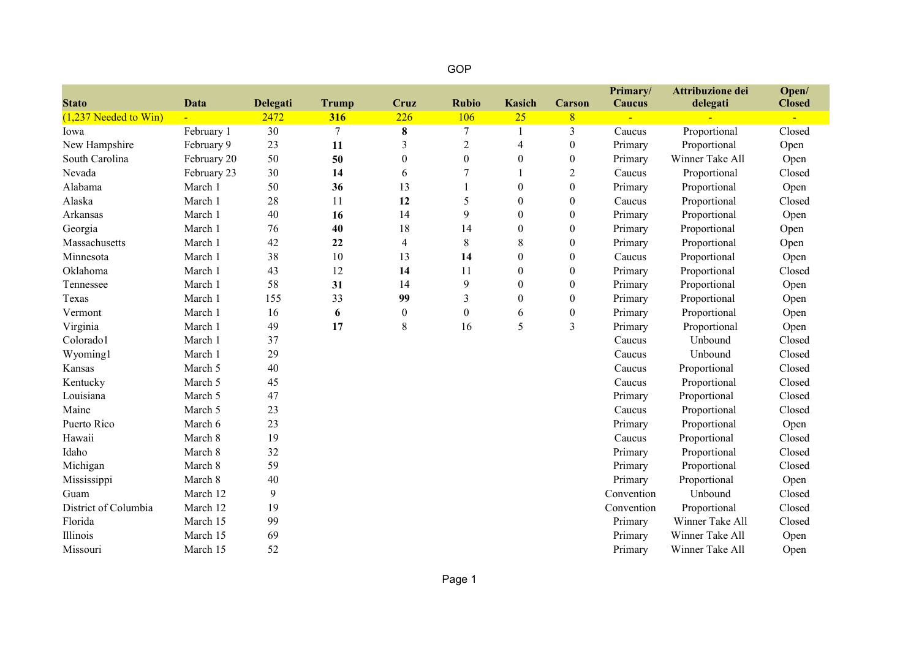| <b>Stato</b>             | <b>Data</b>    | Delegati | <b>Trump</b> | <b>Cruz</b>              | <b>Rubio</b>     | <b>Kasich</b>    | <b>Carson</b>    | Primary/<br>Caucus | Attribuzione dei<br>delegati | Open/<br><b>Closed</b> |
|--------------------------|----------------|----------|--------------|--------------------------|------------------|------------------|------------------|--------------------|------------------------------|------------------------|
| $(1,237)$ Needed to Win) | $\blacksquare$ | 2472     | 316          | 226                      | <b>106</b>       | 25               | 8                |                    |                              |                        |
| Iowa                     | February 1     | 30       | 7            | $\bf 8$                  | 7                | 1                | 3                | Caucus             | Proportional                 | Closed                 |
| New Hampshire            | February 9     | 23       | 11           | 3                        | $\overline{c}$   | 4                | $\boldsymbol{0}$ | Primary            | Proportional                 | Open                   |
| South Carolina           | February 20    | 50       | 50           | $\mathbf{0}$             | $\boldsymbol{0}$ | $\boldsymbol{0}$ | $\boldsymbol{0}$ | Primary            | Winner Take All              | Open                   |
| Nevada                   | February 23    | 30       | 14           | 6                        | 7                |                  | $\overline{c}$   | Caucus             | Proportional                 | Closed                 |
| Alabama                  | March 1        | 50       | 36           | 13                       |                  | $\boldsymbol{0}$ | $\theta$         | Primary            | Proportional                 | Open                   |
| Alaska                   | March 1        | 28       | 11           | 12                       | 5                | $\theta$         | $\theta$         | Caucus             | Proportional                 | Closed                 |
| <b>Arkansas</b>          | March 1        | 40       | 16           | 14                       | 9                | $\boldsymbol{0}$ | $\theta$         | Primary            | Proportional                 | Open                   |
| Georgia                  | March 1        | 76       | 40           | 18                       | 14               | $\boldsymbol{0}$ | $\theta$         | Primary            | Proportional                 | Open                   |
| Massachusetts            | March 1        | 42       | 22           | $\overline{\mathcal{A}}$ | 8                | 8                | $\theta$         | Primary            | Proportional                 | Open                   |
| Minnesota                | March 1        | 38       | 10           | 13                       | 14               | $\boldsymbol{0}$ | $\theta$         | Caucus             | Proportional                 | Open                   |
| Oklahoma                 | March 1        | 43       | 12           | 14                       | 11               | $\theta$         | $\theta$         | Primary            | Proportional                 | Closed                 |
| Tennessee                | March 1        | 58       | 31           | 14                       | 9                | $\theta$         | $\theta$         | Primary            | Proportional                 | Open                   |
| Texas                    | March 1        | 155      | 33           | 99                       | 3                | $\boldsymbol{0}$ | $\theta$         | Primary            | Proportional                 | Open                   |
| Vermont                  | March 1        | 16       | 6            | $\boldsymbol{0}$         | $\boldsymbol{0}$ | 6                | $\boldsymbol{0}$ | Primary            | Proportional                 | Open                   |
| Virginia                 | March 1        | 49       | 17           | 8                        | 16               | 5                | 3                | Primary            | Proportional                 | Open                   |
| Colorado1                | March 1        | 37       |              |                          |                  |                  |                  | Caucus             | Unbound                      | Closed                 |
| Wyoming1                 | March 1        | 29       |              |                          |                  |                  |                  | Caucus             | Unbound                      | Closed                 |
| Kansas                   | March 5        | 40       |              |                          |                  |                  |                  | Caucus             | Proportional                 | Closed                 |
| Kentucky                 | March 5        | 45       |              |                          |                  |                  |                  | Caucus             | Proportional                 | Closed                 |
| Louisiana                | March 5        | 47       |              |                          |                  |                  |                  | Primary            | Proportional                 | Closed                 |
| Maine                    | March 5        | 23       |              |                          |                  |                  |                  | Caucus             | Proportional                 | Closed                 |
| Puerto Rico              | March 6        | 23       |              |                          |                  |                  |                  | Primary            | Proportional                 | Open                   |
| Hawaii                   | March 8        | 19       |              |                          |                  |                  |                  | Caucus             | Proportional                 | Closed                 |
| Idaho                    | March 8        | 32       |              |                          |                  |                  |                  | Primary            | Proportional                 | Closed                 |
| Michigan                 | March 8        | 59       |              |                          |                  |                  |                  | Primary            | Proportional                 | Closed                 |
| Mississippi              | March 8        | 40       |              |                          |                  |                  |                  | Primary            | Proportional                 | Open                   |
| Guam                     | March 12       | 9        |              |                          |                  |                  |                  | Convention         | Unbound                      | Closed                 |
| District of Columbia     | March 12       | 19       |              |                          |                  |                  |                  | Convention         | Proportional                 | Closed                 |
| Florida                  | March 15       | 99       |              |                          |                  |                  |                  | Primary            | Winner Take All              | Closed                 |
| Illinois                 | March 15       | 69       |              |                          |                  |                  |                  | Primary            | Winner Take All              | Open                   |
| Missouri                 | March 15       | 52       |              |                          |                  |                  |                  | Primary            | Winner Take All              | Open                   |

GOP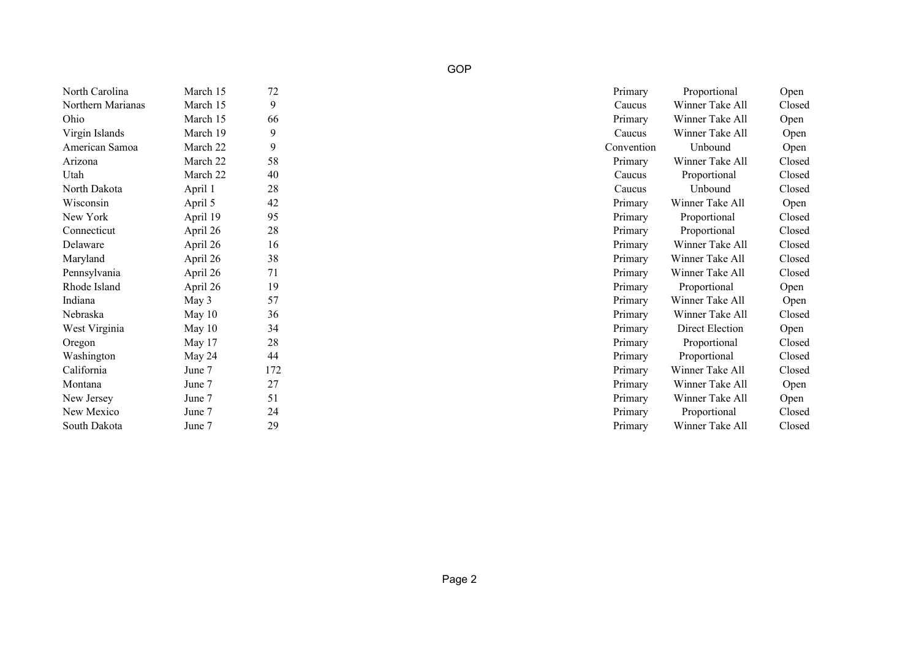| North Carolina    | March 15 | 72  | Primary<br>Proportional    | Open   |
|-------------------|----------|-----|----------------------------|--------|
| Northern Marianas | March 15 | 9   | Winner Take All<br>Caucus  | Closed |
| Ohio              | March 15 | 66  | Winner Take All<br>Primary | Open   |
| Virgin Islands    | March 19 | 9   | Winner Take All<br>Caucus  | Open   |
| American Samoa    | March 22 | 9   | Unbound<br>Convention      | Open   |
| Arizona           | March 22 | 58  | Winner Take All<br>Primary | Closed |
| Utah              | March 22 | 40  | Proportional<br>Caucus     | Closed |
| North Dakota      | April 1  | 28  | Unbound<br>Caucus          | Closed |
| Wisconsin         | April 5  | 42  | Winner Take All<br>Primary | Open   |
| New York          | April 19 | 95  | Proportional<br>Primary    | Closed |
| Connecticut       | April 26 | 28  | Proportional<br>Primary    | Closed |
| Delaware          | April 26 | 16  | Winner Take All<br>Primary | Closed |
| Maryland          | April 26 | 38  | Winner Take All<br>Primary | Closed |
| Pennsylvania      | April 26 | 71  | Winner Take All<br>Primary | Closed |
| Rhode Island      | April 26 | 19  | Proportional<br>Primary    | Open   |
| Indiana           | May 3    | 57  | Winner Take All<br>Primary | Open   |
| Nebraska          | May $10$ | 36  | Winner Take All<br>Primary | Closed |
| West Virginia     | May $10$ | 34  | Direct Election<br>Primary | Open   |
| Oregon            | May 17   | 28  | Proportional<br>Primary    | Closed |
| Washington        | May 24   | 44  | Proportional<br>Primary    | Closed |
| California        | June 7   | 172 | Winner Take All<br>Primary | Closed |
| Montana           | June 7   | 27  | Winner Take All<br>Primary | Open   |
| New Jersey        | June 7   | 51  | Winner Take All<br>Primary | Open   |
| New Mexico        | June 7   | 24  | Primary<br>Proportional    | Closed |
| South Dakota      | June 7   | 29  | Winner Take All<br>Primary | Closed |

| 12              | Primary    | Proportional           | Open   |
|-----------------|------------|------------------------|--------|
| 9               | Caucus     | Winner Take All        | Closed |
| 56              | Primary    | Winner Take All        | Open   |
| 9               | Caucus     | Winner Take All        | Open   |
| 9               | Convention | Unbound                | Open   |
| 58              | Primary    | Winner Take All        | Closed |
| $\overline{10}$ | Caucus     | Proportional           | Closed |
| 28              | Caucus     | Unbound                | Closed |
| $12 \,$         | Primary    | Winner Take All        | Open   |
| 5 <sup>0</sup>  | Primary    | Proportional           | Closed |
| 28              | Primary    | Proportional           | Closed |
| 16              | Primary    | Winner Take All        | Closed |
| 88              | Primary    | Winner Take All        | Closed |
| $\frac{1}{2}$   | Primary    | Winner Take All        | Closed |
| $\overline{9}$  | Primary    | Proportional           | Open   |
| 57              | Primary    | Winner Take All        | Open   |
| 36              | Primary    | Winner Take All        | Closed |
| $\frac{34}{4}$  | Primary    | <b>Direct Election</b> | Open   |
| 28              | Primary    | Proportional           | Closed |
| $\frac{1}{4}$   | Primary    | Proportional           | Closed |
| 72              | Primary    | Winner Take All        | Closed |
| 27              | Primary    | Winner Take All        | Open   |
| 51              | Primary    | Winner Take All        | Open   |
| $^{14}$         | Primary    | Proportional           | Closed |
| 29              | Primary    | Winner Take All        | Closed |
|                 |            |                        |        |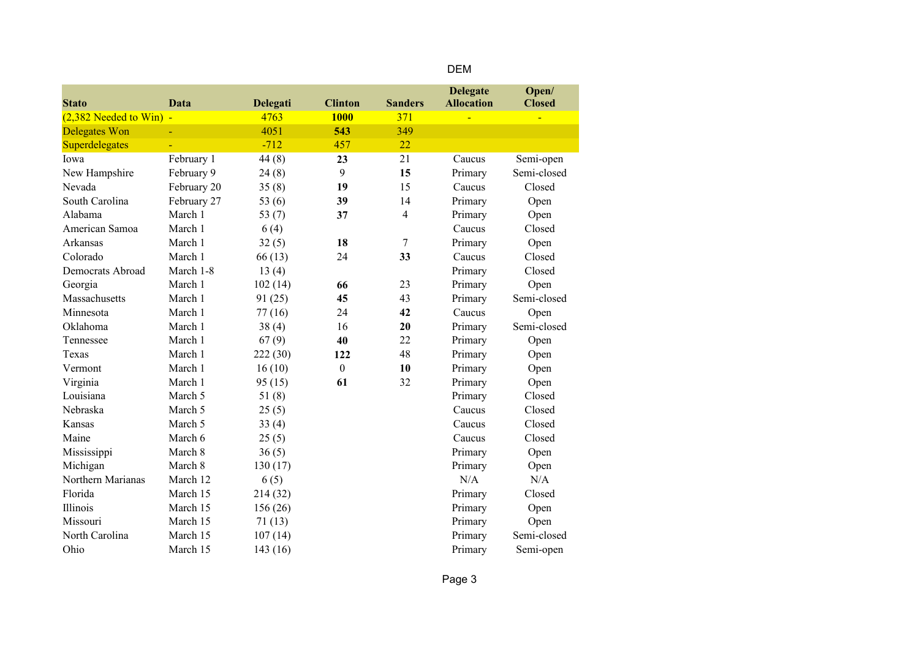|--|

| <b>Stato</b>              | Data        | <b>Delegati</b> | <b>Clinton</b>   | <b>Sanders</b> | <b>Delegate</b><br><b>Allocation</b> | Open/<br><b>Closed</b> |
|---------------------------|-------------|-----------------|------------------|----------------|--------------------------------------|------------------------|
| $(2,382$ Needed to Win) - |             | 4763            | <b>1000</b>      | 371            |                                      |                        |
| <b>Delegates Won</b>      |             | 4051            | 543              | 349            |                                      |                        |
| Superdelegates            |             | $-712$          | 457              | 22             |                                      |                        |
| Iowa                      | February 1  | 44(8)           | 23               | 21             | Caucus                               | Semi-open              |
| New Hampshire             | February 9  | 24(8)           | 9                | 15             | Primary                              | Semi-closed            |
| Nevada                    | February 20 | 35(8)           | 19               | 15             | Caucus                               | Closed                 |
| South Carolina            | February 27 | 53 $(6)$        | 39               | 14             | Primary                              | Open                   |
| Alabama                   | March 1     | 53 $(7)$        | 37               | $\overline{4}$ | Primary                              | Open                   |
| American Samoa            | March 1     | 6(4)            |                  |                | Caucus                               | Closed                 |
| Arkansas                  | March 1     | 32(5)           | 18               | 7              | Primary                              | Open                   |
| Colorado                  | March 1     | 66 (13)         | 24               | 33             | Caucus                               | Closed                 |
| Democrats Abroad          | March 1-8   | 13(4)           |                  |                | Primary                              | Closed                 |
| Georgia                   | March 1     | 102(14)         | 66               | 23             | Primary                              | Open                   |
| Massachusetts             | March 1     | 91(25)          | 45               | 43             | Primary                              | Semi-closed            |
| Minnesota                 | March 1     | 77(16)          | 24               | 42             | Caucus                               | Open                   |
| Oklahoma                  | March 1     | 38(4)           | 16               | 20             | Primary                              | Semi-closed            |
| Tennessee                 | March 1     | 67(9)           | 40               | 22             | Primary                              | Open                   |
| Texas                     | March 1     | 222 (30)        | 122              | 48             | Primary                              | Open                   |
| Vermont                   | March 1     | 16(10)          | $\boldsymbol{0}$ | 10             | Primary                              | Open                   |
| Virginia                  | March 1     | 95(15)          | 61               | 32             | Primary                              | Open                   |
| Louisiana                 | March 5     | 51(8)           |                  |                | Primary                              | Closed                 |
| Nebraska                  | March 5     | 25(5)           |                  |                | Caucus                               | Closed                 |
| Kansas                    | March 5     | 33(4)           |                  |                | Caucus                               | Closed                 |
| Maine                     | March 6     | 25(5)           |                  |                | Caucus                               | Closed                 |
| Mississippi               | March 8     | 36(5)           |                  |                | Primary                              | Open                   |
| Michigan                  | March 8     | 130(17)         |                  |                | Primary                              | Open                   |
| Northern Marianas         | March 12    | 6(5)            |                  |                | N/A                                  | N/A                    |
| Florida                   | March 15    | 214 (32)        |                  |                | Primary                              | Closed                 |
| Illinois                  | March 15    | 156(26)         |                  |                | Primary                              | Open                   |
| Missouri                  | March 15    | 71(13)          |                  |                | Primary                              | Open                   |
| North Carolina            | March 15    | 107(14)         |                  |                | Primary                              | Semi-closed            |
| Ohio                      | March 15    | 143(16)         |                  |                | Primary                              | Semi-open              |